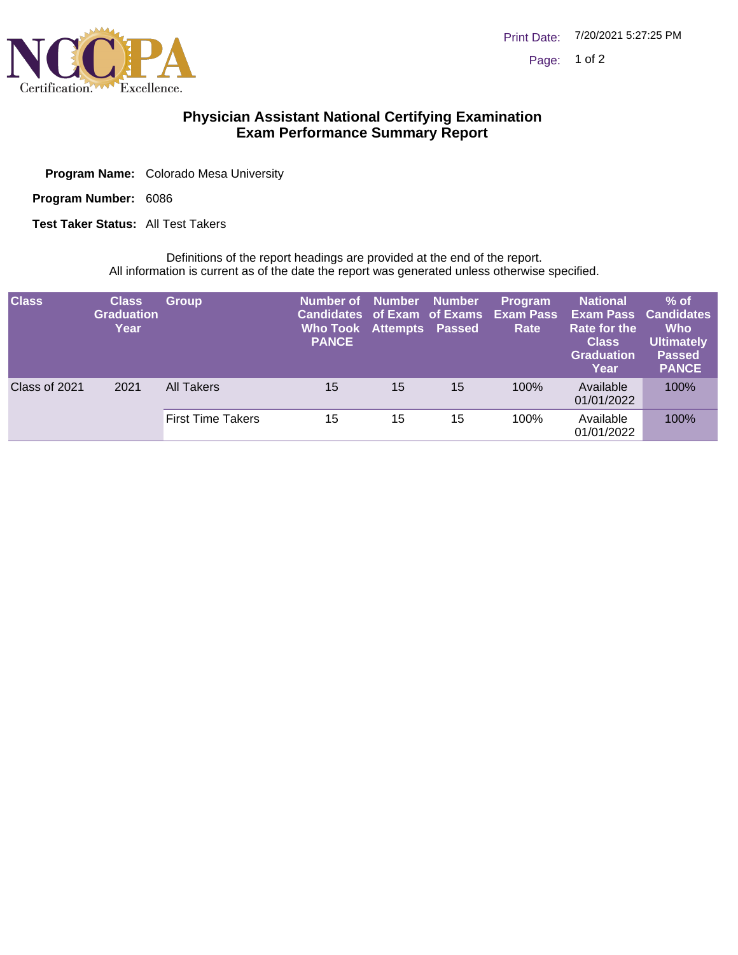

## **Physician Assistant National Certifying Examination Exam Performance Summary Report**

| <b>Program Name:</b> Colorado Mesa University |  |
|-----------------------------------------------|--|
|                                               |  |

Program Number: 6086

**Test Taker Status: All Test Takers** 

Definitions of the report headings are provided at the end of the report. All information is current as of the date the report was generated unless otherwise specified.

| <b>Class</b>  | <b>Class</b><br><b>Graduation</b><br>Year | <b>Group</b> | Number of Number Number<br>Candidates of Exam of Exams<br>Who Took Attempts Passed<br><b>PANCE</b> |    |    | Program<br><b>Exam Pass</b><br>Rate | <b>National</b><br><b>Exam Pass</b><br>Rate for the<br><b>Class</b><br><b>Graduation</b><br>Year | $%$ of $\overline{\phantom{a}}$<br><b>Candidates</b><br><b>Who</b><br><b>Ultimately</b><br><b>Passed</b><br><b>PANCE</b> |
|---------------|-------------------------------------------|--------------|----------------------------------------------------------------------------------------------------|----|----|-------------------------------------|--------------------------------------------------------------------------------------------------|--------------------------------------------------------------------------------------------------------------------------|
| Class of 2021 | 2021                                      | All Takers   | 15                                                                                                 | 15 | 15 | 100%                                | Available<br>01/01/2022                                                                          | 100%                                                                                                                     |
|               |                                           |              | <b>First Time Takers</b>                                                                           | 15 | 15 | 15                                  | 100%                                                                                             | Available<br>01/01/2022                                                                                                  |